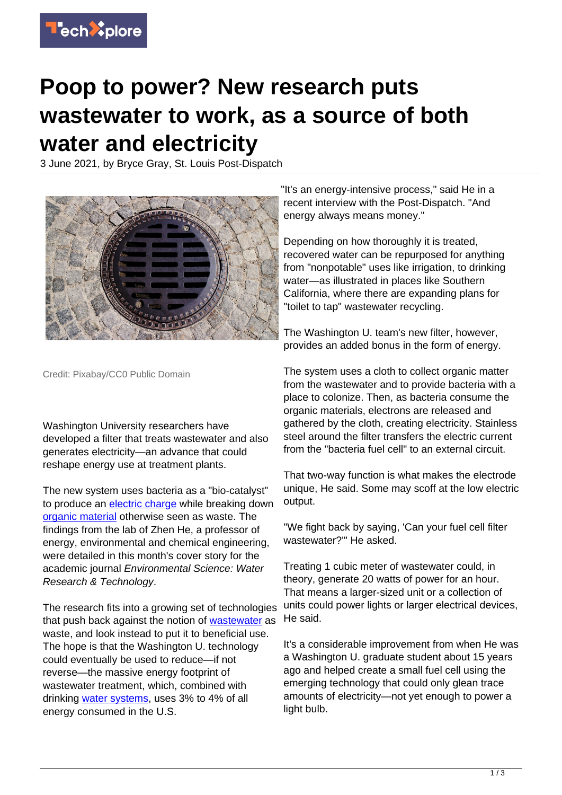

## **Poop to power? New research puts wastewater to work, as a source of both water and electricity**

3 June 2021, by Bryce Gray, St. Louis Post-Dispatch



Credit: Pixabay/CC0 Public Domain

Washington University researchers have developed a filter that treats wastewater and also generates electricity—an advance that could reshape energy use at treatment plants.

The new system uses bacteria as a "bio-catalyst" to produce an [electric charge](https://techxplore.com/tags/electric+charge/) while breaking down [organic material](https://techxplore.com/tags/organic+material/) otherwise seen as waste. The findings from the lab of Zhen He, a professor of energy, environmental and chemical engineering, were detailed in this month's cover story for the academic journal Environmental Science: Water Research & Technology.

The research fits into a growing set of technologies that push back against the notion of [wastewater](https://techxplore.com/tags/wastewater/) as waste, and look instead to put it to beneficial use. The hope is that the Washington U. technology could eventually be used to reduce—if not reverse—the massive energy footprint of wastewater treatment, which, combined with drinking [water systems](https://techxplore.com/tags/water+systems/), uses 3% to 4% of all energy consumed in the U.S.

"It's an energy-intensive process," said He in a recent interview with the Post-Dispatch. "And energy always means money."

Depending on how thoroughly it is treated, recovered water can be repurposed for anything from "nonpotable" uses like irrigation, to drinking water—as illustrated in places like Southern California, where there are expanding plans for "toilet to tap" wastewater recycling.

The Washington U. team's new filter, however, provides an added bonus in the form of energy.

The system uses a cloth to collect organic matter from the wastewater and to provide bacteria with a place to colonize. Then, as bacteria consume the organic materials, electrons are released and gathered by the cloth, creating electricity. Stainless steel around the filter transfers the electric current from the "bacteria fuel cell" to an external circuit.

That two-way function is what makes the electrode unique, He said. Some may scoff at the low electric output.

"We fight back by saying, 'Can your fuel cell filter wastewater?'" He asked.

Treating 1 cubic meter of wastewater could, in theory, generate 20 watts of power for an hour. That means a larger-sized unit or a collection of units could power lights or larger electrical devices, He said.

It's a considerable improvement from when He was a Washington U. graduate student about 15 years ago and helped create a small fuel cell using the emerging technology that could only glean trace amounts of electricity—not yet enough to power a light bulb.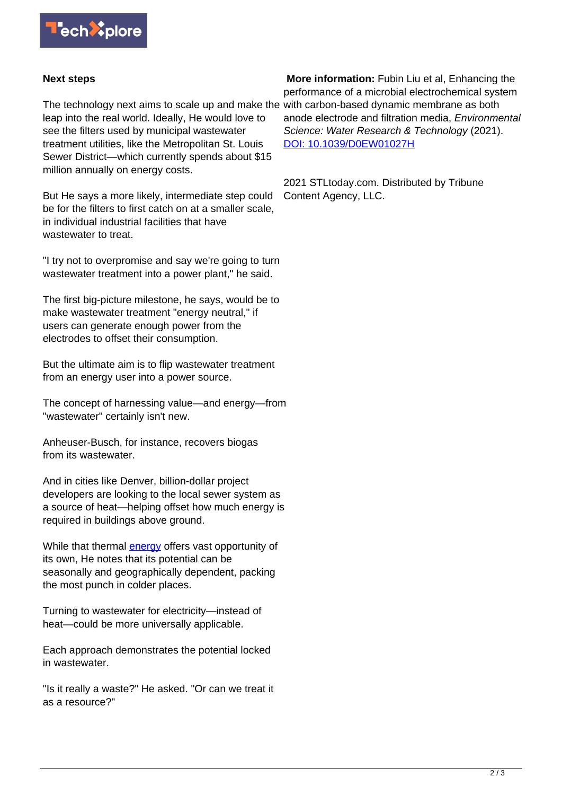

## **Next steps**

The technology next aims to scale up and make the with carbon-based dynamic membrane as both leap into the real world. Ideally, He would love to see the filters used by municipal wastewater treatment utilities, like the Metropolitan St. Louis Sewer District—which currently spends about \$15 million annually on energy costs.

But He says a more likely, intermediate step could be for the filters to first catch on at a smaller scale, in individual industrial facilities that have wastewater to treat.

"I try not to overpromise and say we're going to turn wastewater treatment into a power plant," he said.

The first big-picture milestone, he says, would be to make wastewater treatment "energy neutral," if users can generate enough power from the electrodes to offset their consumption.

But the ultimate aim is to flip wastewater treatment from an energy user into a power source.

The concept of harnessing value—and energy—from "wastewater" certainly isn't new.

Anheuser-Busch, for instance, recovers biogas from its wastewater.

And in cities like Denver, billion-dollar project developers are looking to the local sewer system as a source of heat—helping offset how much energy is required in buildings above ground.

While that thermal [energy](https://techxplore.com/tags/energy/) offers vast opportunity of its own, He notes that its potential can be seasonally and geographically dependent, packing the most punch in colder places.

Turning to wastewater for electricity—instead of heat—could be more universally applicable.

Each approach demonstrates the potential locked in wastewater.

"Is it really a waste?" He asked. "Or can we treat it as a resource?"

 **More information:** Fubin Liu et al, Enhancing the performance of a microbial electrochemical system anode electrode and filtration media, Environmental Science: Water Research & Technology (2021). [DOI: 10.1039/D0EW01027H](http://dx.doi.org/10.1039/D0EW01027H)

2021 STLtoday.com. Distributed by Tribune Content Agency, LLC.